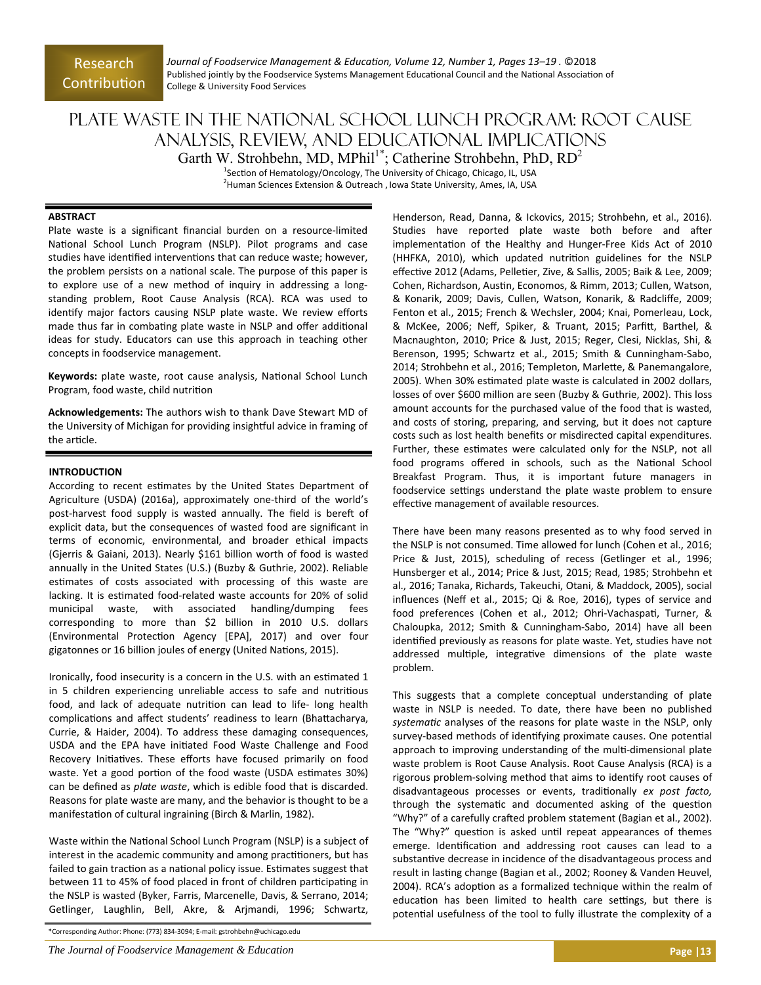*Journal of Foodservice Management & EducaƟon, Volume 12, Number 1, Pages 13–19 .* ©2018 Published jointly by the Foodservice Systems Management Educational Council and the National Association of College & University Food Services

# Plate Waste in the National School Lunch Program: Root Cause Analysis, Review, and Educational Implications Garth W. Strohbehn, MD, MPhil<sup>1\*</sup>; Catherine Strohbehn, PhD,  $RD<sup>2</sup>$

<sup>1</sup>Section of Hematology/Oncology, The University of Chicago, Chicago, IL, USA <sup>2</sup> Human Sciences Extension & Outreach , Iowa State University, Ames, IA, USA

#### **ABSTRACT**

Plate waste is a significant financial burden on a resource-limited National School Lunch Program (NSLP). Pilot programs and case studies have identified interventions that can reduce waste; however, the problem persists on a national scale. The purpose of this paper is to explore use of a new method of inquiry in addressing a longstanding problem, Root Cause Analysis (RCA). RCA was used to identify major factors causing NSLP plate waste. We review efforts made thus far in combating plate waste in NSLP and offer additional ideas for study. Educators can use this approach in teaching other concepts in foodservice management.

Keywords: plate waste, root cause analysis, National School Lunch Program, food waste, child nutrition

**Acknowledgements:** The authors wish to thank Dave Stewart MD of the University of Michigan for providing insightful advice in framing of the article.

## **INTRODUCTION**

According to recent estimates by the United States Department of Agriculture (USDA) (2016a), approximately one-third of the world's post-harvest food supply is wasted annually. The field is bereft of explicit data, but the consequences of wasted food are significant in terms of economic, environmental, and broader ethical impacts (Gjerris & Gaiani, 2013). Nearly \$161 billion worth of food is wasted annually in the United States (U.S.) (Buzby & Guthrie, 2002). Reliable estimates of costs associated with processing of this waste are lacking. It is estimated food-related waste accounts for 20% of solid municipal waste, with associated handling/dumping fees corresponding to more than \$2 billion in 2010 U.S. dollars (Environmental Protection Agency [EPA], 2017) and over four gigatonnes or 16 billion joules of energy (United Nations, 2015).

Ironically, food insecurity is a concern in the U.S. with an estimated 1 in 5 children experiencing unreliable access to safe and nutritious food, and lack of adequate nutrition can lead to life- long health complications and affect students' readiness to learn (Bhattacharya, Currie, & Haider, 2004). To address these damaging consequences, USDA and the EPA have initiated Food Waste Challenge and Food Recovery Initiatives. These efforts have focused primarily on food waste. Yet a good portion of the food waste (USDA estimates 30%) can be defined as *plate waste*, which is edible food that is discarded. Reasons for plate waste are many, and the behavior is thought to be a manifestation of cultural ingraining (Birch & Marlin, 1982).

Waste within the National School Lunch Program (NSLP) is a subject of interest in the academic community and among practitioners, but has failed to gain traction as a national policy issue. Estimates suggest that between 11 to 45% of food placed in front of children participating in the NSLP is wasted (Byker, Farris, Marcenelle, Davis, & Serrano, 2014; Getlinger, Laughlin, Bell, Akre, & Arjmandi, 1996; Schwartz,

\*Corresponding Author: Phone: (773) 834‐3094; E‐mail: gstrohbehn@uchicago.edu

*The Journal of Foodservice Management & Education* **<b>Page |13 Page |13 Page |13** 

Henderson, Read, Danna, & Ickovics, 2015; Strohbehn, et al., 2016). Studies have reported plate waste both before and after implementation of the Healthy and Hunger-Free Kids Act of 2010 (HHFKA, 2010), which updated nutrition guidelines for the NSLP effective 2012 (Adams, Pelletier, Zive, & Sallis, 2005; Baik & Lee, 2009; Cohen, Richardson, Austin, Economos, & Rimm, 2013; Cullen, Watson, & Konarik, 2009; Davis, Cullen, Watson, Konarik, & Radcliffe, 2009; Fenton et al., 2015; French & Wechsler, 2004; Knai, Pomerleau, Lock, & McKee, 2006; Neff, Spiker, & Truant, 2015; ParfiƩ, Barthel, & Macnaughton, 2010; Price & Just, 2015; Reger, Clesi, Nicklas, Shi, & Berenson, 1995; Schwartz et al., 2015; Smith & Cunningham‐Sabo, 2014; Strohbehn et al., 2016; Templeton, Marlette, & Panemangalore, 2005). When 30% estimated plate waste is calculated in 2002 dollars, losses of over \$600 million are seen (Buzby & Guthrie, 2002). This loss amount accounts for the purchased value of the food that is wasted, and costs of storing, preparing, and serving, but it does not capture costs such as lost health benefits or misdirected capital expenditures. Further, these estimates were calculated only for the NSLP, not all food programs offered in schools, such as the National School Breakfast Program. Thus, it is important future managers in foodservice settings understand the plate waste problem to ensure effective management of available resources.

There have been many reasons presented as to why food served in the NSLP is not consumed. Time allowed for lunch (Cohen et al., 2016; Price & Just, 2015), scheduling of recess (Getlinger et al., 1996; Hunsberger et al., 2014; Price & Just, 2015; Read, 1985; Strohbehn et al., 2016; Tanaka, Richards, Takeuchi, Otani, & Maddock, 2005), social influences (Neff et al., 2015; Qi & Roe, 2016), types of service and food preferences (Cohen et al., 2012; Ohri-Vachaspati, Turner, & Chaloupka, 2012; Smith & Cunningham‐Sabo, 2014) have all been identified previously as reasons for plate waste. Yet, studies have not addressed multiple, integrative dimensions of the plate waste problem.

This suggests that a complete conceptual understanding of plate waste in NSLP is needed. To date, there have been no published *systemaƟc* analyses of the reasons for plate waste in the NSLP, only survey-based methods of identifying proximate causes. One potential approach to improving understanding of the multi-dimensional plate waste problem is Root Cause Analysis. Root Cause Analysis (RCA) is a rigorous problem-solving method that aims to identify root causes of disadvantageous processes or events, traditionally ex post facto, through the systematic and documented asking of the question "Why?" of a carefully crafted problem statement (Bagian et al., 2002). The "Why?" question is asked until repeat appearances of themes emerge. Identification and addressing root causes can lead to a substantive decrease in incidence of the disadvantageous process and result in lasting change (Bagian et al., 2002; Rooney & Vanden Heuvel, 2004). RCA's adoption as a formalized technique within the realm of education has been limited to health care settings, but there is potential usefulness of the tool to fully illustrate the complexity of a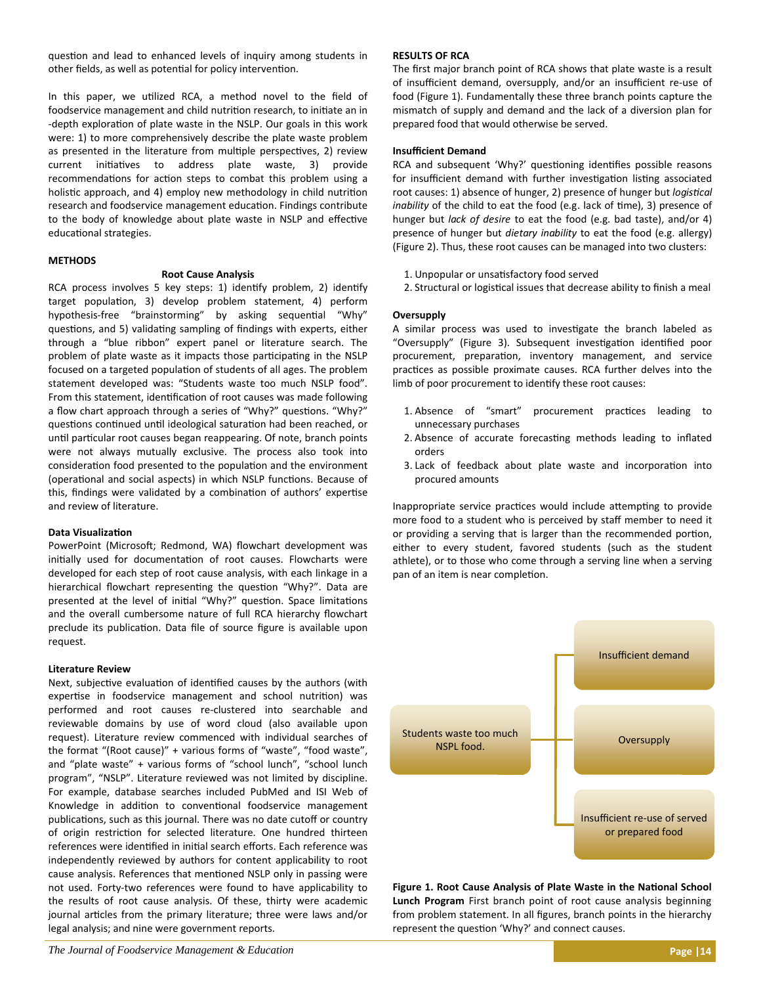question and lead to enhanced levels of inquiry among students in other fields, as well as potential for policy intervention.

In this paper, we utilized RCA, a method novel to the field of foodservice management and child nutrition research, to initiate an in -depth exploration of plate waste in the NSLP. Our goals in this work were: 1) to more comprehensively describe the plate waste problem as presented in the literature from multiple perspectives, 2) review current initiatives to address plate waste, 3) provide recommendations for action steps to combat this problem using a holistic approach, and 4) employ new methodology in child nutrition research and foodservice management education. Findings contribute to the body of knowledge about plate waste in NSLP and effective educational strategies.

## **METHODS**

## **Root Cause Analysis**

RCA process involves 5 key steps: 1) identify problem, 2) identify target population, 3) develop problem statement, 4) perform hypothesis-free "brainstorming" by asking sequential "Why" questions, and 5) validating sampling of findings with experts, either through a "blue ribbon" expert panel or literature search. The problem of plate waste as it impacts those participating in the NSLP focused on a targeted population of students of all ages. The problem statement developed was: "Students waste too much NSLP food". From this statement, identification of root causes was made following a flow chart approach through a series of "Why?" questions. "Why?" questions continued until ideological saturation had been reached, or until particular root causes began reappearing. Of note, branch points were not always mutually exclusive. The process also took into consideration food presented to the population and the environment (operational and social aspects) in which NSLP functions. Because of this, findings were validated by a combination of authors' expertise and review of literature.

# **Data VisualizaƟon**

PowerPoint (Microsoft; Redmond, WA) flowchart development was initially used for documentation of root causes. Flowcharts were developed for each step of root cause analysis, with each linkage in a hierarchical flowchart representing the question "Why?". Data are presented at the level of initial "Why?" question. Space limitations and the overall cumbersome nature of full RCA hierarchy flowchart preclude its publication. Data file of source figure is available upon request.

## **Literature Review**

Next, subjective evaluation of identified causes by the authors (with expertise in foodservice management and school nutrition) was performed and root causes re-clustered into searchable and reviewable domains by use of word cloud (also available upon request). Literature review commenced with individual searches of the format "(Root cause)" + various forms of "waste", "food waste", and "plate waste" + various forms of "school lunch", "school lunch program", "NSLP". Literature reviewed was not limited by discipline. For example, database searches included PubMed and ISI Web of Knowledge in addition to conventional foodservice management publications, such as this journal. There was no date cutoff or country of origin restriction for selected literature. One hundred thirteen references were identified in initial search efforts. Each reference was independently reviewed by authors for content applicability to root cause analysis. References that mentioned NSLP only in passing were not used. Forty-two references were found to have applicability to the results of root cause analysis. Of these, thirty were academic journal articles from the primary literature; three were laws and/or legal analysis; and nine were government reports.

## **RESULTS OF RCA**

The first major branch point of RCA shows that plate waste is a result of insufficient demand, oversupply, and/or an insufficient re‐use of food (Figure 1). Fundamentally these three branch points capture the mismatch of supply and demand and the lack of a diversion plan for prepared food that would otherwise be served.

## **Insufficient Demand**

RCA and subsequent 'Why?' questioning identifies possible reasons for insufficient demand with further investigation listing associated root causes: 1) absence of hunger, 2) presence of hunger but *logistical* inability of the child to eat the food (e.g. lack of time), 3) presence of hunger but *lack of desire* to eat the food (e.g. bad taste), and/or 4) presence of hunger but *dietary inability* to eat the food (e.g. allergy) (Figure 2). Thus, these root causes can be managed into two clusters:

- 1. Unpopular or unsatisfactory food served
- 2. Structural or logistical issues that decrease ability to finish a meal

## **Oversupply**

A similar process was used to investigate the branch labeled as "Oversupply" (Figure 3). Subsequent investigation identified poor procurement, preparation, inventory management, and service practices as possible proximate causes. RCA further delves into the limb of poor procurement to identify these root causes:

- 1. Absence of "smart" procurement practices leading to unnecessary purchases
- 2. Absence of accurate forecasting methods leading to inflated orders
- 3. Lack of feedback about plate waste and incorporation into procured amounts

Inappropriate service practices would include attempting to provide more food to a student who is perceived by staff member to need it or providing a serving that is larger than the recommended portion, either to every student, favored students (such as the student athlete), or to those who come through a serving line when a serving pan of an item is near completion.



Figure 1. Root Cause Analysis of Plate Waste in the National School **Lunch Program** First branch point of root cause analysis beginning from problem statement. In all figures, branch points in the hierarchy represent the question 'Why?' and connect causes.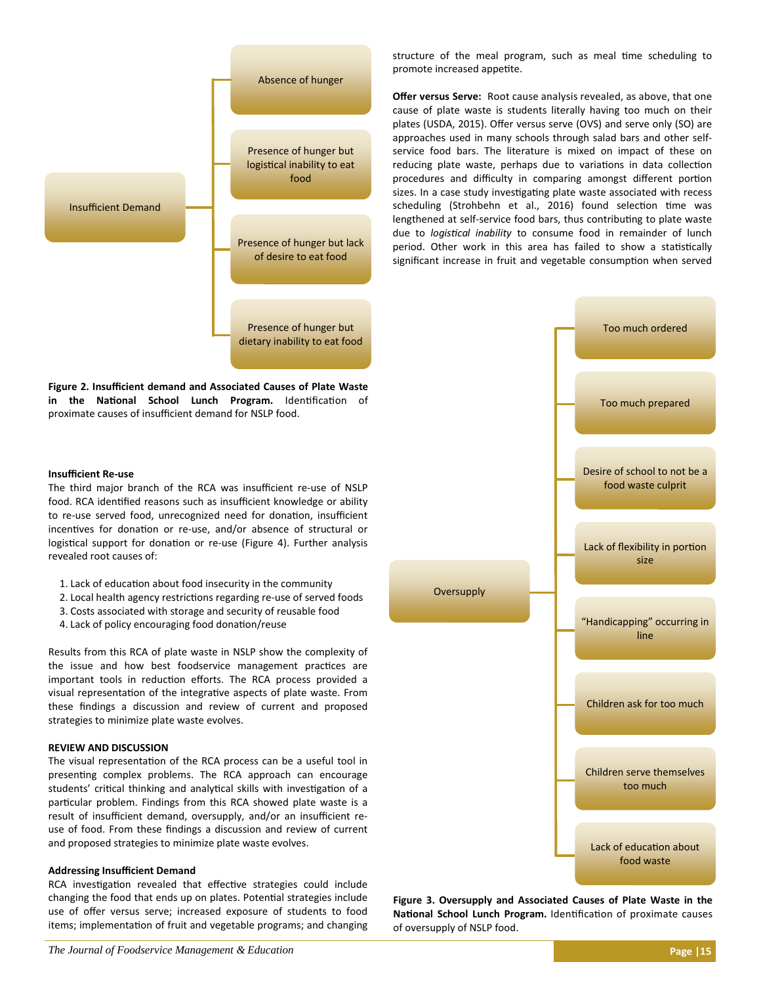

**Figure 2. Insufficient demand and Associated Causes of Plate Waste**  in the National School Lunch Program. Identification of proximate causes of insufficient demand for NSLP food.

## **Insufficient Re‐use**

The third major branch of the RCA was insufficient re-use of NSLP food. RCA identified reasons such as insufficient knowledge or ability to re-use served food, unrecognized need for donation, insufficient incentives for donation or re-use, and/or absence of structural or logistical support for donation or re-use (Figure 4). Further analysis revealed root causes of:

- 1. Lack of education about food insecurity in the community
- 2. Local health agency restrictions regarding re-use of served foods
- 3. Costs associated with storage and security of reusable food
- 4. Lack of policy encouraging food donation/reuse

Results from this RCA of plate waste in NSLP show the complexity of the issue and how best foodservice management practices are important tools in reduction efforts. The RCA process provided a visual representation of the integrative aspects of plate waste. From these findings a discussion and review of current and proposed strategies to minimize plate waste evolves.

# **REVIEW AND DISCUSSION**

The visual representation of the RCA process can be a useful tool in presenting complex problems. The RCA approach can encourage students' critical thinking and analytical skills with investigation of a particular problem. Findings from this RCA showed plate waste is a result of insufficient demand, oversupply, and/or an insufficient re‐ use of food. From these findings a discussion and review of current and proposed strategies to minimize plate waste evolves.

## **Addressing Insufficient Demand**

RCA investigation revealed that effective strategies could include changing the food that ends up on plates. Potential strategies include use of offer versus serve; increased exposure of students to food items; implementation of fruit and vegetable programs; and changing structure of the meal program, such as meal time scheduling to promote increased appetite.

**Offer versus Serve:** Root cause analysis revealed, as above, that one cause of plate waste is students literally having too much on their plates (USDA, 2015). Offer versus serve (OVS) and serve only (SO) are approaches used in many schools through salad bars and other self‐ service food bars. The literature is mixed on impact of these on reducing plate waste, perhaps due to variations in data collection procedures and difficulty in comparing amongst different portion sizes. In a case study investigating plate waste associated with recess scheduling (Strohbehn et al., 2016) found selection time was lengthened at self-service food bars, thus contributing to plate waste due to *logistical inability* to consume food in remainder of lunch period. Other work in this area has failed to show a statistically significant increase in fruit and vegetable consumption when served



**Figure 3. Oversupply and Associated Causes of Plate Waste in the**  National School Lunch Program. Identification of proximate causes of oversupply of NSLP food.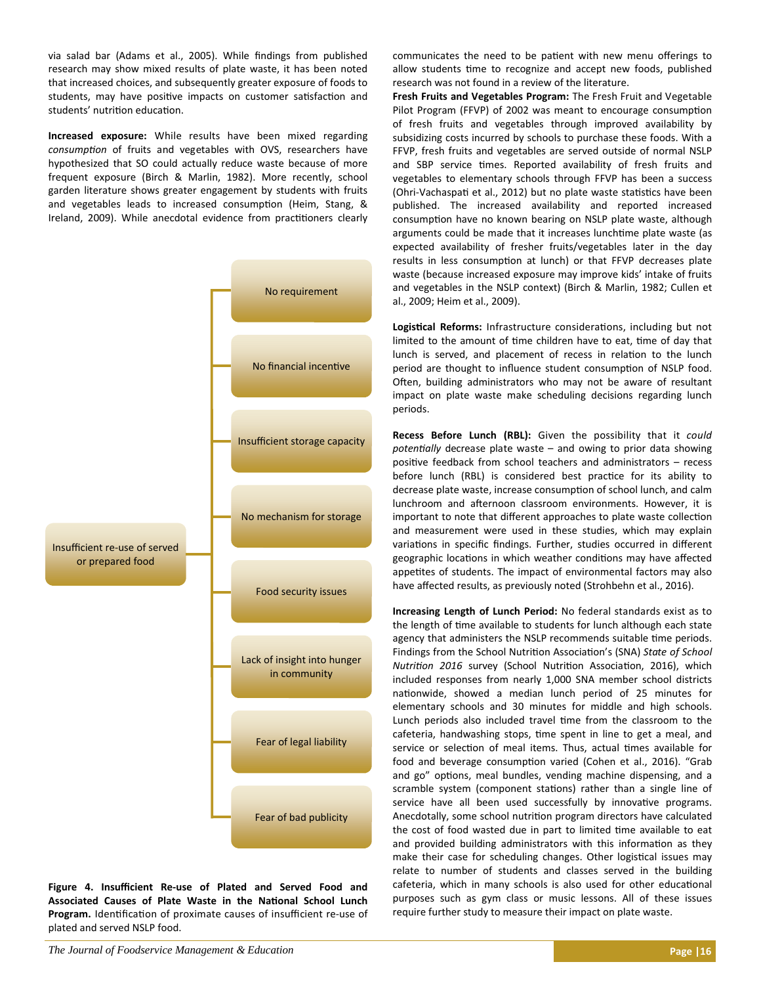via salad bar (Adams et al., 2005). While findings from published research may show mixed results of plate waste, it has been noted that increased choices, and subsequently greater exposure of foods to students, may have positive impacts on customer satisfaction and students' nutrition education.

**Increased exposure:** While results have been mixed regarding consumption of fruits and vegetables with OVS, researchers have hypothesized that SO could actually reduce waste because of more frequent exposure (Birch & Marlin, 1982). More recently, school garden literature shows greater engagement by students with fruits and vegetables leads to increased consumption (Heim, Stang, & Ireland, 2009). While anecdotal evidence from practitioners clearly



**Figure 4. Insufficient Re‐use of Plated and Served Food and**  Associated Causes of Plate Waste in the National School Lunch Program. Identification of proximate causes of insufficient re-use of plated and served NSLP food.

communicates the need to be patient with new menu offerings to allow students time to recognize and accept new foods, published research was not found in a review of the literature.

**Fresh Fruits and Vegetables Program:** The Fresh Fruit and Vegetable Pilot Program (FFVP) of 2002 was meant to encourage consumption of fresh fruits and vegetables through improved availability by subsidizing costs incurred by schools to purchase these foods. With a FFVP, fresh fruits and vegetables are served outside of normal NSLP and SBP service times. Reported availability of fresh fruits and vegetables to elementary schools through FFVP has been a success (Ohri-Vachaspati et al., 2012) but no plate waste statistics have been published. The increased availability and reported increased consumption have no known bearing on NSLP plate waste, although arguments could be made that it increases lunchtime plate waste (as expected availability of fresher fruits/vegetables later in the day results in less consumption at lunch) or that FFVP decreases plate waste (because increased exposure may improve kids' intake of fruits and vegetables in the NSLP context) (Birch & Marlin, 1982; Cullen et al., 2009; Heim et al., 2009).

Logistical Reforms: Infrastructure considerations, including but not limited to the amount of time children have to eat, time of day that lunch is served, and placement of recess in relation to the lunch period are thought to influence student consumption of NSLP food. Often, building administrators who may not be aware of resultant impact on plate waste make scheduling decisions regarding lunch periods.

**Recess Before Lunch (RBL):** Given the possibility that it *could potenƟally*  decrease plate waste – and owing to prior data showing positive feedback from school teachers and administrators  $-$  recess before lunch (RBL) is considered best practice for its ability to decrease plate waste, increase consumption of school lunch, and calm lunchroom and afternoon classroom environments. However, it is important to note that different approaches to plate waste collection and measurement were used in these studies, which may explain variations in specific findings. Further, studies occurred in different geographic locations in which weather conditions may have affected appetites of students. The impact of environmental factors may also have affected results, as previously noted (Strohbehn et al., 2016).

**Increasing Length of Lunch Period:** No federal standards exist as to the length of time available to students for lunch although each state agency that administers the NSLP recommends suitable time periods. Findings from the School Nutrition Association's (SNA) *State of School Nutrition 2016* survey (School Nutrition Association, 2016), which included responses from nearly 1,000 SNA member school districts nationwide, showed a median lunch period of 25 minutes for elementary schools and 30 minutes for middle and high schools. Lunch periods also included travel time from the classroom to the cafeteria, handwashing stops, time spent in line to get a meal, and service or selection of meal items. Thus, actual times available for food and beverage consumption varied (Cohen et al., 2016). "Grab and go" options, meal bundles, vending machine dispensing, and a scramble system (component stations) rather than a single line of service have all been used successfully by innovative programs. Anecdotally, some school nutrition program directors have calculated the cost of food wasted due in part to limited time available to eat and provided building administrators with this information as they make their case for scheduling changes. Other logistical issues may relate to number of students and classes served in the building cafeteria, which in many schools is also used for other educational purposes such as gym class or music lessons. All of these issues require further study to measure their impact on plate waste.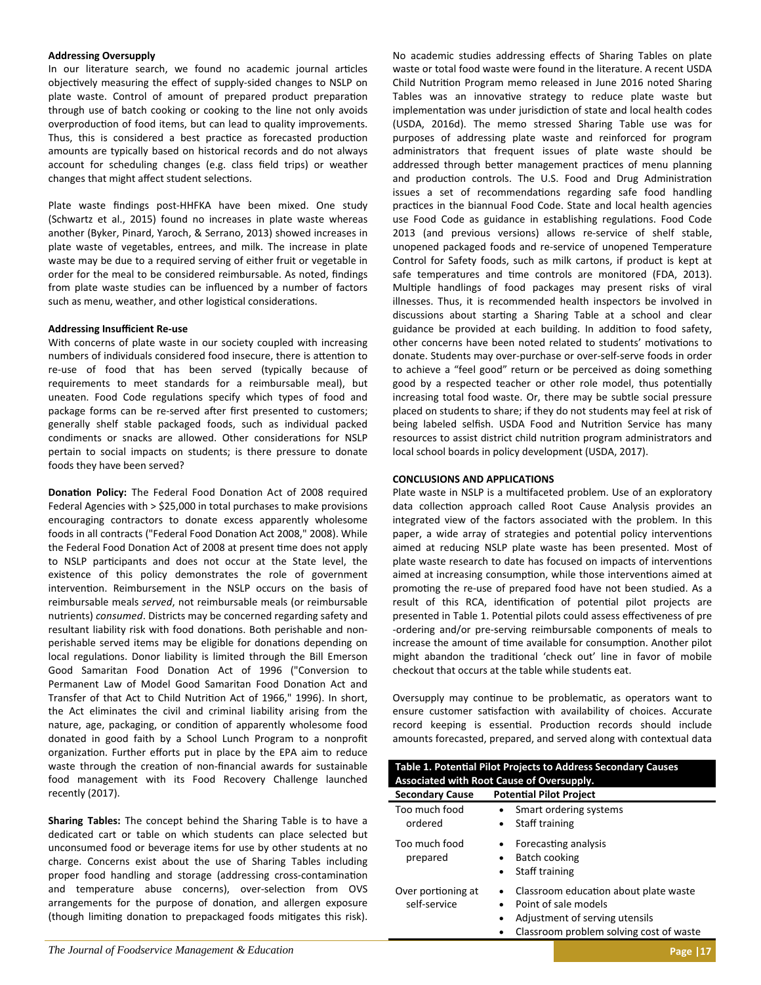## **Addressing Oversupply**

In our literature search, we found no academic journal articles objectively measuring the effect of supply-sided changes to NSLP on plate waste. Control of amount of prepared product preparation through use of batch cooking or cooking to the line not only avoids overproduction of food items, but can lead to quality improvements. Thus, this is considered a best practice as forecasted production amounts are typically based on historical records and do not always account for scheduling changes (e.g. class field trips) or weather changes that might affect student selections.

Plate waste findings post-HHFKA have been mixed. One study (Schwartz et al., 2015) found no increases in plate waste whereas another (Byker, Pinard, Yaroch, & Serrano, 2013) showed increases in plate waste of vegetables, entrees, and milk. The increase in plate waste may be due to a required serving of either fruit or vegetable in order for the meal to be considered reimbursable. As noted, findings from plate waste studies can be influenced by a number of factors such as menu, weather, and other logistical considerations.

## **Addressing Insufficient Re‐use**

With concerns of plate waste in our society coupled with increasing numbers of individuals considered food insecure, there is attention to re‐use of food that has been served (typically because of requirements to meet standards for a reimbursable meal), but uneaten. Food Code regulations specify which types of food and package forms can be re-served after first presented to customers; generally shelf stable packaged foods, such as individual packed condiments or snacks are allowed. Other considerations for NSLP pertain to social impacts on students; is there pressure to donate foods they have been served?

Donation Policy: The Federal Food Donation Act of 2008 required Federal Agencies with > \$25,000 in total purchases to make provisions encouraging contractors to donate excess apparently wholesome foods in all contracts ("Federal Food Donation Act 2008," 2008). While the Federal Food Donation Act of 2008 at present time does not apply to NSLP participants and does not occur at the State level, the existence of this policy demonstrates the role of government intervention. Reimbursement in the NSLP occurs on the basis of reimbursable meals *served*, not reimbursable meals (or reimbursable nutrients) *consumed*. Districts may be concerned regarding safety and resultant liability risk with food donations. Both perishable and nonperishable served items may be eligible for donations depending on local regulations. Donor liability is limited through the Bill Emerson Good Samaritan Food Donation Act of 1996 ("Conversion to Permanent Law of Model Good Samaritan Food Donation Act and Transfer of that Act to Child Nutrition Act of 1966," 1996). In short, the Act eliminates the civil and criminal liability arising from the nature, age, packaging, or condition of apparently wholesome food donated in good faith by a School Lunch Program to a nonprofit organization. Further efforts put in place by the EPA aim to reduce waste through the creation of non-financial awards for sustainable food management with its Food Recovery Challenge launched recently (2017).

**Sharing Tables:** The concept behind the Sharing Table is to have a dedicated cart or table on which students can place selected but unconsumed food or beverage items for use by other students at no charge. Concerns exist about the use of Sharing Tables including proper food handling and storage (addressing cross-contamination and temperature abuse concerns), over-selection from OVS arrangements for the purpose of donation, and allergen exposure (though limiting donation to prepackaged foods mitigates this risk). No academic studies addressing effects of Sharing Tables on plate waste or total food waste were found in the literature. A recent USDA Child Nutrition Program memo released in June 2016 noted Sharing Tables was an innovative strategy to reduce plate waste but implementation was under jurisdiction of state and local health codes (USDA, 2016d). The memo stressed Sharing Table use was for purposes of addressing plate waste and reinforced for program administrators that frequent issues of plate waste should be addressed through better management practices of menu planning and production controls. The U.S. Food and Drug Administration issues a set of recommendations regarding safe food handling practices in the biannual Food Code. State and local health agencies use Food Code as guidance in establishing regulations. Food Code 2013 (and previous versions) allows re-service of shelf stable, unopened packaged foods and re‐service of unopened Temperature Control for Safety foods, such as milk cartons, if product is kept at safe temperatures and time controls are monitored (FDA, 2013). Multiple handlings of food packages may present risks of viral illnesses. Thus, it is recommended health inspectors be involved in discussions about starting a Sharing Table at a school and clear guidance be provided at each building. In addition to food safety, other concerns have been noted related to students' motivations to donate. Students may over‐purchase or over‐self‐serve foods in order to achieve a "feel good" return or be perceived as doing something good by a respected teacher or other role model, thus potentially increasing total food waste. Or, there may be subtle social pressure placed on students to share; if they do not students may feel at risk of being labeled selfish. USDA Food and Nutrition Service has many resources to assist district child nutrition program administrators and local school boards in policy development (USDA, 2017).

## **CONCLUSIONS AND APPLICATIONS**

Plate waste in NSLP is a multifaceted problem. Use of an exploratory data collection approach called Root Cause Analysis provides an integrated view of the factors associated with the problem. In this paper, a wide array of strategies and potential policy interventions aimed at reducing NSLP plate waste has been presented. Most of plate waste research to date has focused on impacts of interventions aimed at increasing consumption, while those interventions aimed at promoting the re-use of prepared food have not been studied. As a result of this RCA, identification of potential pilot projects are presented in Table 1. Potential pilots could assess effectiveness of pre ‐ordering and/or pre‐serving reimbursable components of meals to increase the amount of time available for consumption. Another pilot might abandon the traditional 'check out' line in favor of mobile checkout that occurs at the table while students eat.

Oversupply may continue to be problematic, as operators want to ensure customer satisfaction with availability of choices. Accurate record keeping is essential. Production records should include amounts forecasted, prepared, and served along with contextual data

| Table 1. Potential Pilot Projects to Address Secondary Causes<br><b>Associated with Root Cause of Oversupply.</b> |                                                                                                                   |
|-------------------------------------------------------------------------------------------------------------------|-------------------------------------------------------------------------------------------------------------------|
| <b>Secondary Cause</b>                                                                                            | <b>Potential Pilot Project</b>                                                                                    |
| Too much food<br>ordered                                                                                          | Smart ordering systems<br>Staff training                                                                          |
| Too much food<br>prepared                                                                                         | Forecasting analysis<br>Batch cooking<br>Staff training<br>$\bullet$                                              |
| Over portioning at<br>self-service                                                                                | Classroom education about plate waste<br>$\bullet$<br>Point of sale models<br>Adjustment of serving utensils<br>٠ |

*The Journal of Foodservice Management & Education* **Page |17**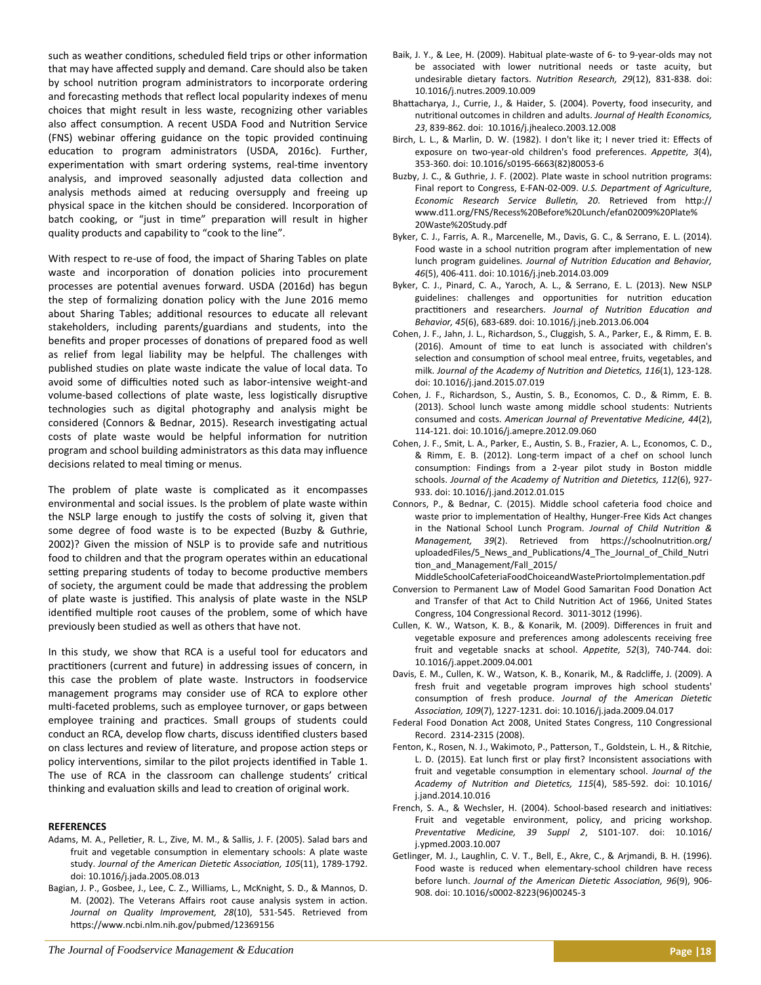such as weather conditions, scheduled field trips or other information that may have affected supply and demand. Care should also be taken by school nutrition program administrators to incorporate ordering and forecasting methods that reflect local popularity indexes of menu choices that might result in less waste, recognizing other variables also affect consumption. A recent USDA Food and Nutrition Service (FNS) webinar offering guidance on the topic provided continuing education to program administrators (USDA, 2016c). Further, experimentation with smart ordering systems, real-time inventory analysis, and improved seasonally adjusted data collection and analysis methods aimed at reducing oversupply and freeing up physical space in the kitchen should be considered. Incorporation of batch cooking, or "just in time" preparation will result in higher quality products and capability to "cook to the line".

With respect to re-use of food, the impact of Sharing Tables on plate waste and incorporation of donation policies into procurement processes are potential avenues forward. USDA (2016d) has begun the step of formalizing donation policy with the June 2016 memo about Sharing Tables; additional resources to educate all relevant stakeholders, including parents/guardians and students, into the benefits and proper processes of donations of prepared food as well as relief from legal liability may be helpful. The challenges with published studies on plate waste indicate the value of local data. To avoid some of difficulties noted such as labor-intensive weight-and volume-based collections of plate waste, less logistically disruptive technologies such as digital photography and analysis might be considered (Connors & Bednar, 2015). Research investigating actual costs of plate waste would be helpful information for nutrition program and school building administrators as this data may influence decisions related to meal timing or menus.

The problem of plate waste is complicated as it encompasses environmental and social issues. Is the problem of plate waste within the NSLP large enough to justify the costs of solving it, given that some degree of food waste is to be expected (Buzby & Guthrie, 2002)? Given the mission of NSLP is to provide safe and nutritious food to children and that the program operates within an educational setting preparing students of today to become productive members of society, the argument could be made that addressing the problem of plate waste is justified. This analysis of plate waste in the NSLP identified multiple root causes of the problem, some of which have previously been studied as well as others that have not.

In this study, we show that RCA is a useful tool for educators and practitioners (current and future) in addressing issues of concern, in this case the problem of plate waste. Instructors in foodservice management programs may consider use of RCA to explore other multi-faceted problems, such as employee turnover, or gaps between employee training and practices. Small groups of students could conduct an RCA, develop flow charts, discuss identified clusters based on class lectures and review of literature, and propose action steps or policy interventions, similar to the pilot projects identified in Table 1. The use of RCA in the classroom can challenge students' critical thinking and evaluation skills and lead to creation of original work.

## **REFERENCES**

- Adams, M. A., Pelletier, R. L., Zive, M. M., & Sallis, J. F. (2005). Salad bars and fruit and vegetable consumption in elementary schools: A plate waste study. Journal of the American Dietetic Association, 105(11), 1789-1792. doi: 10.1016/j.jada.2005.08.013
- Bagian, J. P., Gosbee, J., Lee, C. Z., Williams, L., McKnight, S. D., & Mannos, D. M. (2002). The Veterans Affairs root cause analysis system in action. *Journal on Quality Improvement, 28*(10), 531‐545. Retrieved from https://www.ncbi.nlm.nih.gov/pubmed/12369156
- Baik, J. Y., & Lee, H. (2009). Habitual plate‐waste of 6‐ to 9‐year‐olds may not be associated with lower nutritional needs or taste acuity, but undesirable dietary factors. Nutrition Research, 29(12), 831-838. doi: 10.1016/j.nutres.2009.10.009
- Bhattacharya, J., Currie, J., & Haider, S. (2004). Poverty, food insecurity, and nutriƟonal outcomes in children and adults. *Journal of Health Economics, 23*, 839‐862. doi: 10.1016/j.jhealeco.2003.12.008
- Birch, L. L., & Marlin, D. W. (1982). I don't like it; I never tried it: Effects of exposure on two-year-old children's food preferences. Appetite, 3(4), 353‐360. doi: 10.1016/s0195‐6663(82)80053‐6
- Buzby, J. C., & Guthrie, J. F. (2002). Plate waste in school nutrition programs: Final report to Congress, E‐FAN‐02‐009. *U.S. Department of Agriculture, Economic Research Service BulleƟn, 20*. Retrieved from hƩp:// www.d11.org/FNS/Recess%20Before%20Lunch/efan02009%20Plate% 20Waste%20Study.pdf
- Byker, C. J., Farris, A. R., Marcenelle, M., Davis, G. C., & Serrano, E. L. (2014). Food waste in a school nutrition program after implementation of new lunch program guidelines. Journal of Nutrition Education and Behavior, *46*(5), 406‐411. doi: 10.1016/j.jneb.2014.03.009
- Byker, C. J., Pinard, C. A., Yaroch, A. L., & Serrano, E. L. (2013). New NSLP guidelines: challenges and opportunities for nutrition education practitioners and researchers. Journal of Nutrition Education and *Behavior, 45*(6), 683‐689. doi: 10.1016/j.jneb.2013.06.004
- Cohen, J. F., Jahn, J. L., Richardson, S., Cluggish, S. A., Parker, E., & Rimm, E. B. (2016). Amount of time to eat lunch is associated with children's selection and consumption of school meal entree, fruits, vegetables, and milk. Journal of the Academy of Nutrition and Dietetics, 116(1), 123-128. doi: 10.1016/j.jand.2015.07.019
- Cohen, J. F., Richardson, S., Austin, S. B., Economos, C. D., & Rimm, E. B. (2013). School lunch waste among middle school students: Nutrients consumed and costs. American Journal of Preventative Medicine, 44(2), 114‐121. doi: 10.1016/j.amepre.2012.09.060
- Cohen, J. F., Smit, L. A., Parker, E., Austin, S. B., Frazier, A. L., Economos, C. D., & Rimm, E. B. (2012). Long‐term impact of a chef on school lunch consumption: Findings from a 2-year pilot study in Boston middle schools. Journal of the Academy of Nutrition and Dietetics, 112(6), 927-933. doi: 10.1016/j.jand.2012.01.015
- Connors, P., & Bednar, C. (2015). Middle school cafeteria food choice and waste prior to implementation of Healthy, Hunger-Free Kids Act changes in the National School Lunch Program. Journal of Child Nutrition & *Management, 39*(2). Retrieved from https://schoolnutrition.org/ uploadedFiles/5\_News\_and\_Publications/4\_The\_Journal\_of\_Child\_Nutri tion and Management/Fall 2015/
- MiddleSchoolCafeteriaFoodChoiceandWastePriortoImplementation.pdf Conversion to Permanent Law of Model Good Samaritan Food Donation Act and Transfer of that Act to Child Nutrition Act of 1966, United States Congress, 104 Congressional Record. 3011‐3012 (1996).
- Cullen, K. W., Watson, K. B., & Konarik, M. (2009). Differences in fruit and vegetable exposure and preferences among adolescents receiving free fruit and vegetable snacks at school. *Appetite*, 52(3), 740-744. doi: 10.1016/j.appet.2009.04.001
- Davis, E. M., Cullen, K. W., Watson, K. B., Konarik, M., & Radcliffe, J. (2009). A fresh fruit and vegetable program improves high school students' consumption of fresh produce. Journal of the American Dietetic *AssociaƟon, 109*(7), 1227‐1231. doi: 10.1016/j.jada.2009.04.017
- Federal Food Donation Act 2008, United States Congress, 110 Congressional Record. 2314‐2315 (2008).
- Fenton, K., Rosen, N. J., Wakimoto, P., Patterson, T., Goldstein, L. H., & Ritchie, L. D. (2015). Eat lunch first or play first? Inconsistent associations with fruit and vegetable consumption in elementary school. *Journal of the Academy of NutriƟon and DieteƟcs, 115*(4), 585‐592. doi: 10.1016/ j.jand.2014.10.016
- French, S. A., & Wechsler, H. (2004). School-based research and initiatives: Fruit and vegetable environment, policy, and pricing workshop. *PreventaƟve Medicine, 39 Suppl 2*, S101‐107. doi: 10.1016/ j.ypmed.2003.10.007
- Getlinger, M. J., Laughlin, C. V. T., Bell, E., Akre, C., & Arjmandi, B. H. (1996). Food waste is reduced when elementary-school children have recess before lunch. *Journal of the American Dietetic Association, 96*(9), 906-908. doi: 10.1016/s0002‐8223(96)00245‐3